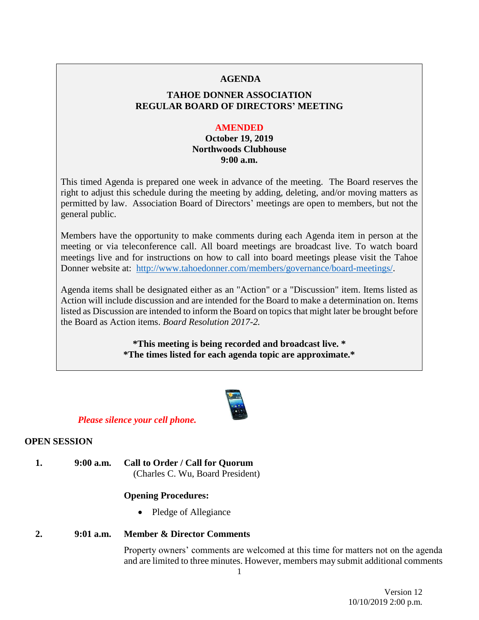#### **AGENDA**

# **TAHOE DONNER ASSOCIATION REGULAR BOARD OF DIRECTORS' MEETING**

#### **AMENDED**

# **October 19, 2019 Northwoods Clubhouse 9:00 a.m.**

This timed Agenda is prepared one week in advance of the meeting. The Board reserves the right to adjust this schedule during the meeting by adding, deleting, and/or moving matters as permitted by law. Association Board of Directors' meetings are open to members, but not the general public.

Members have the opportunity to make comments during each Agenda item in person at the meeting or via teleconference call. All board meetings are broadcast live. To watch board meetings live and for instructions on how to call into board meetings please visit the Tahoe Donner website at: [http://www.tahoedonner.com/members/governance/board-meetings/.](http://www.tahoedonner.com/members/governance/board-meetings/)

Agenda items shall be designated either as an "Action" or a "Discussion" item. Items listed as Action will include discussion and are intended for the Board to make a determination on. Items listed as Discussion are intended to inform the Board on topics that might later be brought before the Board as Action items. *Board Resolution 2017-2.*

> **\*This meeting is being recorded and broadcast live. \* \*The times listed for each agenda topic are approximate.\***



#### *Please silence your cell phone.*

#### **OPEN SESSION**

**1. 9:00 a.m. Call to Order / Call for Quorum** (Charles C. Wu, Board President)

#### **Opening Procedures:**

• Pledge of Allegiance

# **2. 9:01 a.m. Member & Director Comments**

Property owners' comments are welcomed at this time for matters not on the agenda and are limited to three minutes. However, members may submit additional comments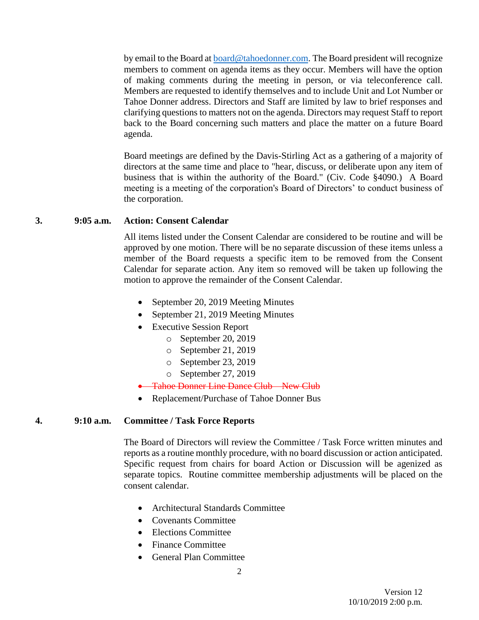by email to the Board at **board@tahoedonner.com**. The Board president will recognize members to comment on agenda items as they occur. Members will have the option of making comments during the meeting in person, or via teleconference call. Members are requested to identify themselves and to include Unit and Lot Number or Tahoe Donner address. Directors and Staff are limited by law to brief responses and clarifying questions to matters not on the agenda. Directors may request Staff to report back to the Board concerning such matters and place the matter on a future Board agenda.

Board meetings are defined by the Davis-Stirling Act as a gathering of a majority of directors at the same time and place to "hear, discuss, or deliberate upon any item of business that is within the authority of the Board." (Civ. Code §4090.) A Board meeting is a meeting of the corporation's Board of Directors' to conduct business of the corporation.

#### **3. 9:05 a.m. Action: Consent Calendar**

All items listed under the Consent Calendar are considered to be routine and will be approved by one motion. There will be no separate discussion of these items unless a member of the Board requests a specific item to be removed from the Consent Calendar for separate action. Any item so removed will be taken up following the motion to approve the remainder of the Consent Calendar.

- September 20, 2019 Meeting Minutes
- September 21, 2019 Meeting Minutes
- Executive Session Report
	- o September 20, 2019
	- o September 21, 2019
	- o September 23, 2019
	- o September 27, 2019
- **•** Tahoe Donner Line Dance Club New Club
- Replacement/Purchase of Tahoe Donner Bus

#### **4. 9:10 a.m. Committee / Task Force Reports**

The Board of Directors will review the Committee / Task Force written minutes and reports as a routine monthly procedure, with no board discussion or action anticipated. Specific request from chairs for board Action or Discussion will be agenized as separate topics. Routine committee membership adjustments will be placed on the consent calendar.

- Architectural Standards Committee
- Covenants Committee
- Elections Committee
- Finance Committee
- General Plan Committee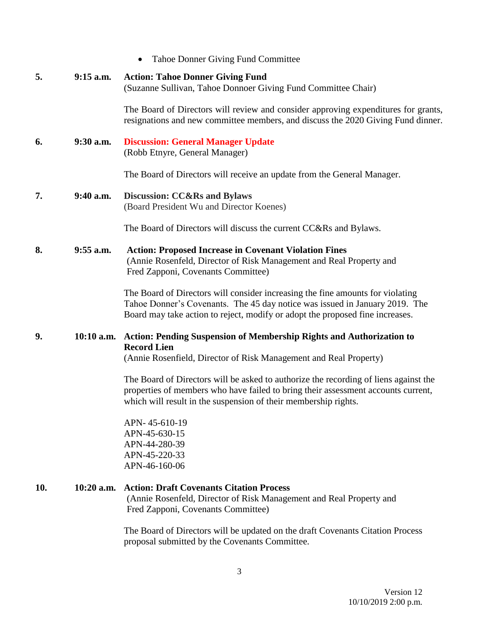|  |  |  |  |  | <b>Tahoe Donner Giving Fund Committee</b> |
|--|--|--|--|--|-------------------------------------------|
|--|--|--|--|--|-------------------------------------------|

| 5.  | $9:15$ a.m.  | <b>Action: Tahoe Donner Giving Fund</b><br>(Suzanne Sullivan, Tahoe Donnoer Giving Fund Committee Chair)                                                                                                                                       |  |  |
|-----|--------------|------------------------------------------------------------------------------------------------------------------------------------------------------------------------------------------------------------------------------------------------|--|--|
|     |              | The Board of Directors will review and consider approving expenditures for grants,<br>resignations and new committee members, and discuss the 2020 Giving Fund dinner.                                                                         |  |  |
| 6.  | $9:30$ a.m.  | <b>Discussion: General Manager Update</b><br>(Robb Etnyre, General Manager)                                                                                                                                                                    |  |  |
|     |              | The Board of Directors will receive an update from the General Manager.                                                                                                                                                                        |  |  |
| 7.  | $9:40$ a.m.  | <b>Discussion: CC&amp;Rs and Bylaws</b><br>(Board President Wu and Director Koenes)                                                                                                                                                            |  |  |
|     |              | The Board of Directors will discuss the current CC&Rs and Bylaws.                                                                                                                                                                              |  |  |
| 8.  | $9:55$ a.m.  | <b>Action: Proposed Increase in Covenant Violation Fines</b><br>(Annie Rosenfeld, Director of Risk Management and Real Property and<br>Fred Zapponi, Covenants Committee)                                                                      |  |  |
|     |              | The Board of Directors will consider increasing the fine amounts for violating<br>Tahoe Donner's Covenants. The 45 day notice was issued in January 2019. The<br>Board may take action to reject, modify or adopt the proposed fine increases. |  |  |
| 9.  | $10:10$ a.m. | <b>Action: Pending Suspension of Membership Rights and Authorization to</b><br><b>Record Lien</b>                                                                                                                                              |  |  |
|     |              | (Annie Rosenfield, Director of Risk Management and Real Property)                                                                                                                                                                              |  |  |
|     |              | The Board of Directors will be asked to authorize the recording of liens against the<br>properties of members who have failed to bring their assessment accounts current,<br>which will result in the suspension of their membership rights.   |  |  |
|     |              | APN-45-610-19<br>APN-45-630-15<br>APN-44-280-39<br>APN-45-220-33<br>APN-46-160-06                                                                                                                                                              |  |  |
| 10. | $10:20$ a.m. | <b>Action: Draft Covenants Citation Process</b><br>(Annie Rosenfeld, Director of Risk Management and Real Property and<br>Fred Zapponi, Covenants Committee)                                                                                   |  |  |
|     |              | The Board of Directors will be updated on the draft Covenants Citation Process                                                                                                                                                                 |  |  |

The Board of Directors will be updated on the draft Covenants Citation Process proposal submitted by the Covenants Committee.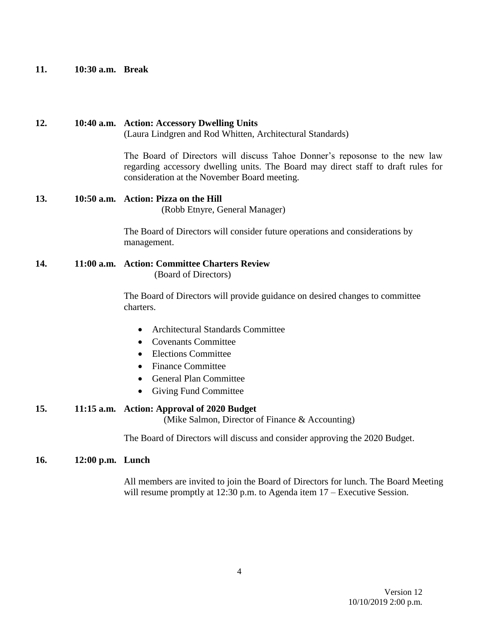**11. 10:30 a.m. Break**

# **12. 10:40 a.m. Action: Accessory Dwelling Units**

(Laura Lindgren and Rod Whitten, Architectural Standards)

The Board of Directors will discuss Tahoe Donner's reposonse to the new law regarding accessory dwelling units. The Board may direct staff to draft rules for consideration at the November Board meeting.

# **13. 10:50 a.m. Action: Pizza on the Hill**

(Robb Etnyre, General Manager)

The Board of Directors will consider future operations and considerations by management.

**14. 11:00 a.m. Action: Committee Charters Review** (Board of Directors)

> The Board of Directors will provide guidance on desired changes to committee charters.

- Architectural Standards Committee
- Covenants Committee
- Elections Committee
- Finance Committee
- General Plan Committee
- Giving Fund Committee

# **15. 11:15 a.m. Action: Approval of 2020 Budget**

(Mike Salmon, Director of Finance & Accounting)

The Board of Directors will discuss and consider approving the 2020 Budget.

#### **16. 12:00 p.m. Lunch**

All members are invited to join the Board of Directors for lunch. The Board Meeting will resume promptly at 12:30 p.m. to Agenda item 17 – Executive Session.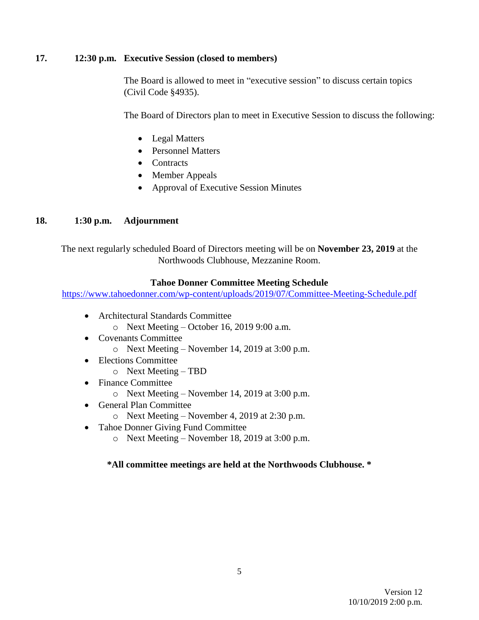# **17. 12:30 p.m. Executive Session (closed to members)**

The Board is allowed to meet in "executive session" to discuss certain topics (Civil Code §4935).

The Board of Directors plan to meet in Executive Session to discuss the following:

- Legal Matters
- Personnel Matters
- Contracts
- Member Appeals
- Approval of Executive Session Minutes

# **18. 1:30 p.m. Adjournment**

The next regularly scheduled Board of Directors meeting will be on **November 23, 2019** at the Northwoods Clubhouse, Mezzanine Room.

### **Tahoe Donner Committee Meeting Schedule**

<https://www.tahoedonner.com/wp-content/uploads/2019/07/Committee-Meeting-Schedule.pdf>

- Architectural Standards Committee
	- o Next Meeting October 16, 2019 9:00 a.m.
- Covenants Committee
	- o Next Meeting November 14, 2019 at 3:00 p.m.
- Elections Committee
	- o Next Meeting TBD
- Finance Committee
	- o Next Meeting November 14, 2019 at 3:00 p.m.
- General Plan Committee
	- o Next Meeting November 4, 2019 at 2:30 p.m.
- Tahoe Donner Giving Fund Committee
	- o Next Meeting November 18, 2019 at 3:00 p.m.

# **\*All committee meetings are held at the Northwoods Clubhouse. \***